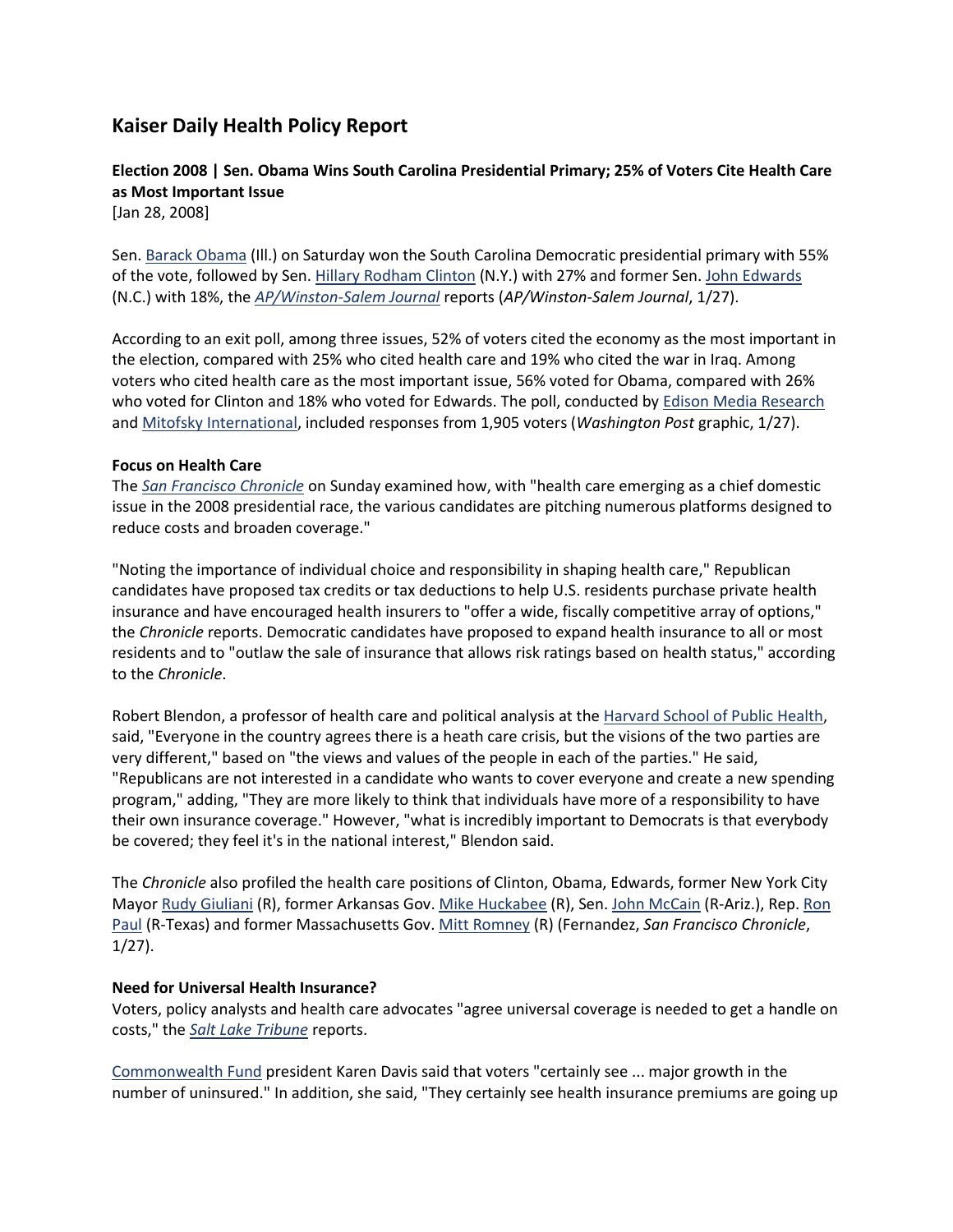# **Kaiser Daily Health Policy Report**

## **Election 2008 | Sen. Obama Wins South Carolina Presidential Primary; 25% of Voters Cite Health Care as Most Important Issue**

[Jan 28, 2008]

Sen[. Barack Obama](http://www.health08.org/candidates/obama.cfm) (Ill.) on Saturday won the South Carolina Democratic presidential primary with 55% of the vote, followed by Sen[. Hillary Rodham Clinton](http://www.health08.org/candidates/clinton.cfm) (N.Y.) with 27% and former Sen[. John Edwards](http://www.health08.org/candidates/edwards.cfm) (N.C.) with 18%, the *[AP/Winston-Salem Journal](http://www.journalnow.com/servlet/Satellite?pagename=WSJ%2FMGArticle%2FWSJ_BasicArticle&c=MGArticle&cid=1173354377773&path=!news!yesterday&s=1037645509099)* reports (*AP/Winston-Salem Journal*, 1/27).

According to an exit poll, among three issues, 52% of voters cited the economy as the most important in the election, compared with 25% who cited health care and 19% who cited the war in Iraq. Among voters who cited health care as the most important issue, 56% voted for Obama, compared with 26% who voted for Clinton and 18% who voted for Edwards. The poll, conducted by [Edison Media Research](http://www.edisonresearch.com/) and [Mitofsky International,](http://www.mitofskyinternational.com/) included responses from 1,905 voters (*Washington Post* graphic, 1/27).

### **Focus on Health Care**

The *[San Francisco Chronicle](http://www.sfgate.com/cgi-bin/article.cgi?f=/c/a/2008/01/27/IN3VUL8F3.DTL&hw=the+road+to+the+presidency+health+care+insurance&sn=001&sc=1000)* on Sunday examined how, with "health care emerging as a chief domestic issue in the 2008 presidential race, the various candidates are pitching numerous platforms designed to reduce costs and broaden coverage."

"Noting the importance of individual choice and responsibility in shaping health care," Republican candidates have proposed tax credits or tax deductions to help U.S. residents purchase private health insurance and have encouraged health insurers to "offer a wide, fiscally competitive array of options," the *Chronicle* reports. Democratic candidates have proposed to expand health insurance to all or most residents and to "outlaw the sale of insurance that allows risk ratings based on health status," according to the *Chronicle*.

Robert Blendon, a professor of health care and political analysis at the [Harvard School of Public Health,](http://www.hsph.harvard.edu/) said, "Everyone in the country agrees there is a heath care crisis, but the visions of the two parties are very different," based on "the views and values of the people in each of the parties." He said, "Republicans are not interested in a candidate who wants to cover everyone and create a new spending program," adding, "They are more likely to think that individuals have more of a responsibility to have their own insurance coverage." However, "what is incredibly important to Democrats is that everybody be covered; they feel it's in the national interest," Blendon said.

The *Chronicle* also profiled the health care positions of Clinton, Obama, Edwards, former New York City Mayor [Rudy Giuliani](http://www.health08.org/candidates/giuliani.cfm) (R), former Arkansas Gov. [Mike Huckabee](http://www.health08.org/candidates/huckabee.cfm) (R), Sen. [John McCain](http://www.health08.org/candidates/mccain.cfm) (R-Ariz.), Rep. [Ron](http://www.health08.org/candidates/paul.cfm)  [Paul](http://www.health08.org/candidates/paul.cfm) (R-Texas) and former Massachusetts Gov. [Mitt Romney](http://www.health08.org/candidates/romney.cfm) (R) (Fernandez, *San Francisco Chronicle*, 1/27).

#### **Need for Universal Health Insurance?**

Voters, policy analysts and health care advocates "agree universal coverage is needed to get a handle on costs," the *[Salt Lake Tribune](http://www.sltrib.com/ci_8096900?IADID=Search-www.sltrib.com-www.sltrib.com)* reports.

[Commonwealth Fund](http://www.commonwealthfund.org/) president Karen Davis said that voters "certainly see ... major growth in the number of uninsured." In addition, she said, "They certainly see health insurance premiums are going up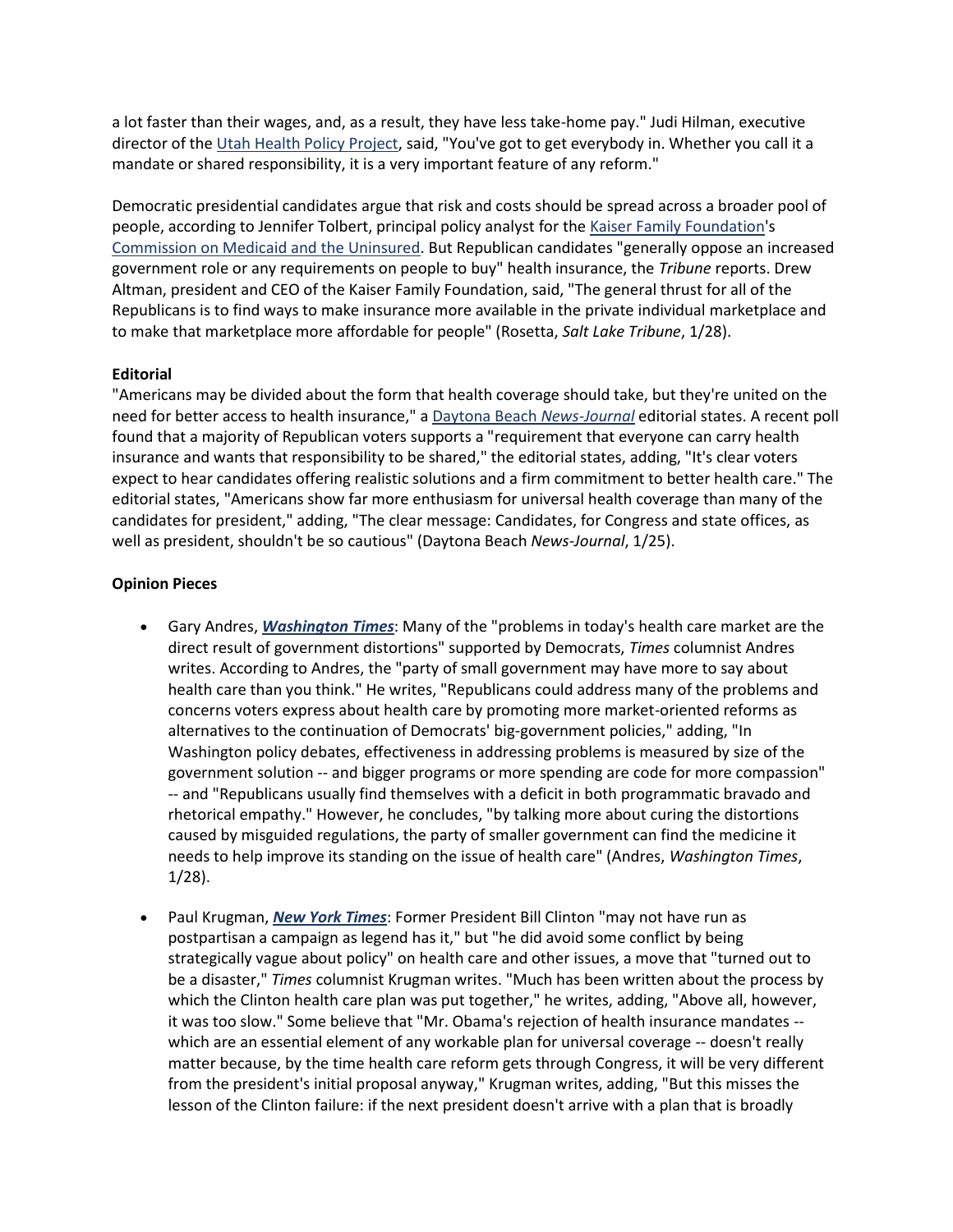a lot faster than their wages, and, as a result, they have less take-home pay." Judi Hilman, executive director of the [Utah Health Policy Project,](http://www.utahhealthalliance.org/) said, "You've got to get everybody in. Whether you call it a mandate or shared responsibility, it is a very important feature of any reform."

Democratic presidential candidates argue that risk and costs should be spread across a broader pool of people, according to Jennifer Tolbert, principal policy analyst for the [Kaiser Family Foundation'](http://www.kff.org/)s [Commission on Medicaid and the Uninsured.](http://www.kff.org/about/kcmu.cfm) But Republican candidates "generally oppose an increased government role or any requirements on people to buy" health insurance, the *Tribune* reports. Drew Altman, president and CEO of the Kaiser Family Foundation, said, "The general thrust for all of the Republicans is to find ways to make insurance more available in the private individual marketplace and to make that marketplace more affordable for people" (Rosetta, *Salt Lake Tribune*, 1/28).

## **Editorial**

"Americans may be divided about the form that health coverage should take, but they're united on the need for better access to health insurance," a [Daytona Beach](http://www.news-journalonline.com/NewsJournalOnline/Opinion/Editorials/opnOPN03012508.htm) *News-Journal* editorial states. A recent poll found that a majority of Republican voters supports a "requirement that everyone can carry health insurance and wants that responsibility to be shared," the editorial states, adding, "It's clear voters expect to hear candidates offering realistic solutions and a firm commitment to better health care." The editorial states, "Americans show far more enthusiasm for universal health coverage than many of the candidates for president," adding, "The clear message: Candidates, for Congress and state offices, as well as president, shouldn't be so cautious" (Daytona Beach *News-Journal*, 1/25).

## **Opinion Pieces**

- Gary Andres, *[Washington Times](http://washingtontimes.com/article/20080128/EDITORIAL08/536619869/1013/EDITORIAL)*: Many of the "problems in today's health care market are the direct result of government distortions" supported by Democrats, *Times* columnist Andres writes. According to Andres, the "party of small government may have more to say about health care than you think." He writes, "Republicans could address many of the problems and concerns voters express about health care by promoting more market-oriented reforms as alternatives to the continuation of Democrats' big-government policies," adding, "In Washington policy debates, effectiveness in addressing problems is measured by size of the government solution -- and bigger programs or more spending are code for more compassion" -- and "Republicans usually find themselves with a deficit in both programmatic bravado and rhetorical empathy." However, he concludes, "by talking more about curing the distortions caused by misguided regulations, the party of smaller government can find the medicine it needs to help improve its standing on the issue of health care" (Andres, *Washington Times*, 1/28).
- Paul Krugman, *[New York Times](http://www.nytimes.com/2008/01/28/opinion/28krugman.html?hp)*: Former President Bill Clinton "may not have run as postpartisan a campaign as legend has it," but "he did avoid some conflict by being strategically vague about policy" on health care and other issues, a move that "turned out to be a disaster," *Times* columnist Krugman writes. "Much has been written about the process by which the Clinton health care plan was put together," he writes, adding, "Above all, however, it was too slow." Some believe that "Mr. Obama's rejection of health insurance mandates - which are an essential element of any workable plan for universal coverage -- doesn't really matter because, by the time health care reform gets through Congress, it will be very different from the president's initial proposal anyway," Krugman writes, adding, "But this misses the lesson of the Clinton failure: if the next president doesn't arrive with a plan that is broadly